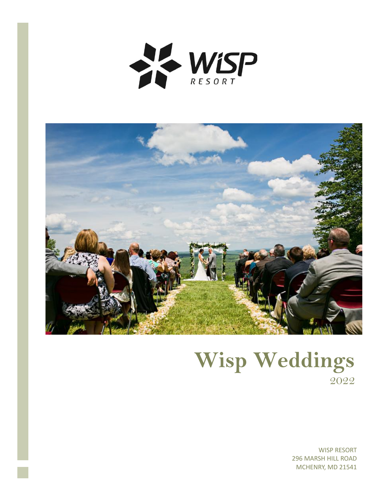



# **Wisp Weddings** 2022

WISP RESORT 296 MARSH HILL ROAD MCHENRY, MD 21541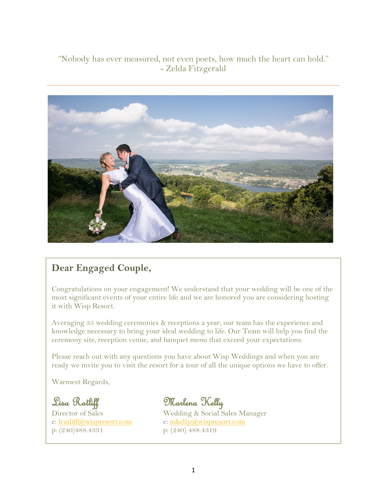# "Nobody has ever measured, not even poets, how much the heart can hold." - Zelda Fitzgerald



# **Dear Engaged Couple,**

Congratulations on your engagement! We understand that your wedding will be one of the most significant events of your entire life and we are honored you are considering hosting it with Wisp Resort.

Averaging 35 wedding ceremonies & receptions a year, our team has the experience and knowledge necessary to bring your ideal wedding to life. Our Team will help you find the ceremony site, reception venue, and banquet menu that exceed your expectations.

Please reach out with any questions you have about Wisp Weddings and when you are ready we invite you to visit the resort for a tour of all the unique options we have to offer.

Warmest Regards,

e: [lratliff@wispresort.com](mailto:lratliff@wispresort.com) e: [mkelly@wispresort.com](mailto:mkelly@wispresort.com) p: (240)488.4331 p: (240) 488.4319

Lisa Ratliff Marlena Kelly<br>Director of Sales Medding & Social S

Wedding & Social Sales Manager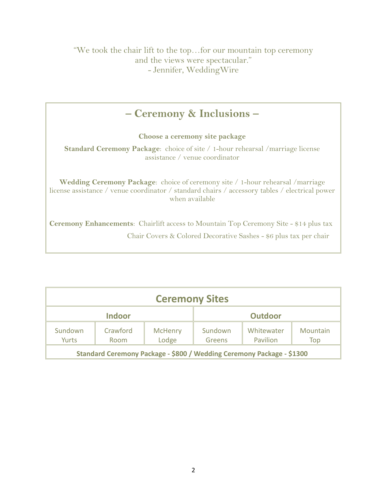# **– Ceremony & Inclusions –**

**Choose a ceremony site package**

**Standard Ceremony Package**: choice of site / 1-hour rehearsal /marriage license assistance / venue coordinator

**Wedding Ceremony Package**: choice of ceremony site / 1-hour rehearsal /marriage license assistance / venue coordinator / standard chairs / accessory tables / electrical power when available

**Ceremony Enhancements**: Chairlift access to Mountain Top Ceremony Site - \$14 plus tax Chair Covers & Colored Decorative Sashes - \$6 plus tax per chair

| <b>Ceremony Sites</b>                                                 |                         |                         |                   |                        |                 |
|-----------------------------------------------------------------------|-------------------------|-------------------------|-------------------|------------------------|-----------------|
| <b>Indoor</b>                                                         |                         | <b>Outdoor</b>          |                   |                        |                 |
| Sundown<br>Yurts                                                      | Crawford<br><b>Room</b> | <b>McHenry</b><br>Lodge | Sundown<br>Greens | Whitewater<br>Pavilion | Mountain<br>Top |
| Standard Ceremony Package - \$800 / Wedding Ceremony Package - \$1300 |                         |                         |                   |                        |                 |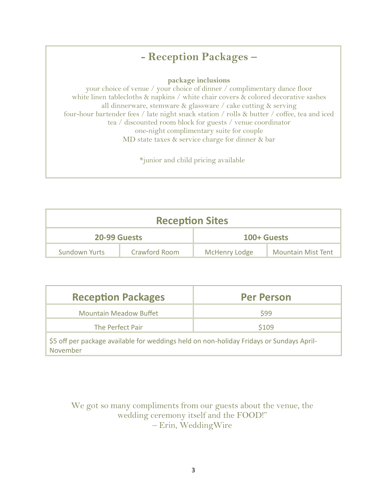# **- Reception Packages –**

**package inclusions**

your choice of venue / your choice of dinner / complimentary dance floor white linen tablecloths & napkins / white chair covers & colored decorative sashes all dinnerware, stemware  $\&$  glassware / cake cutting  $\&$  serving four-hour bartender fees / late night snack station / rolls & butter / coffee, tea and iced tea / discounted room block for guests / venue coordinator one-night complimentary suite for couple MD state taxes & service charge for dinner & bar

\*junior and child pricing available

| <b>Reception Sites</b> |               |                      |                           |  |  |
|------------------------|---------------|----------------------|---------------------------|--|--|
| 20-99 Guests           |               | 100+ Guests          |                           |  |  |
| <b>Sundown Yurts</b>   | Crawford Room | <b>McHenry Lodge</b> | <b>Mountain Mist Tent</b> |  |  |

| <b>Reception Packages</b>                                                                            | <b>Per Person</b> |  |  |
|------------------------------------------------------------------------------------------------------|-------------------|--|--|
| <b>Mountain Meadow Buffet</b>                                                                        | \$99              |  |  |
| The Perfect Pair                                                                                     | \$109             |  |  |
| \$5 off per package available for weddings held on non-holiday Fridays or Sundays April-<br>November |                   |  |  |

We got so many compliments from our guests about the venue, the wedding ceremony itself and the FOOD!" – Erin, WeddingWire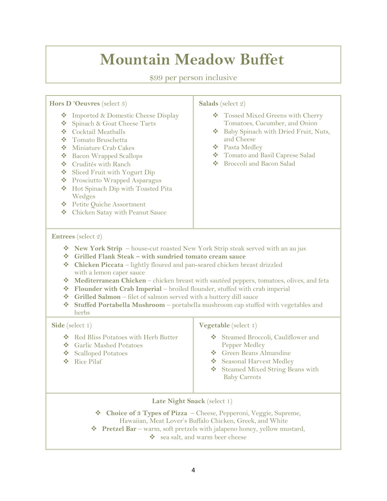# **Mountain Meadow Buffet**

\$99 per person inclusive

**Hors D 'Oeuvres** (select 3)

- ❖ Imported & Domestic Cheese Display
- Spinach & Goat Cheese Tarts
- Cocktail Meatballs
- Tomato Bruschetta
- Miniature Crab Cakes
- Bacon Wrapped Scallops
- Crudités with Ranch
- Sliced Fruit with Yogurt Dip
- Prosciutto Wrapped Asparagus
- ◆ Hot Spinach Dip with Toasted Pita Wedges
- Petite Quiche Assortment
- Chicken Satay with Peanut Sauce

#### **Salads** (select 2)

- Tossed Mixed Greens with Cherry Tomatoes, Cucumber, and Onion
- ◆ Baby Spinach with Dried Fruit, Nuts, and Cheese
- Pasta Medley
- Tomato and Basil Caprese Salad
- Broccoli and Bacon Salad

#### **Entrees** (select 2)

- **New York Strip**  house-cut roasted New York Strip steak served with an au jus
- **Grilled Flank Steak – with sundried tomato cream sauce**
- **Chicken Piccata** lightly floured and pan-seared chicken breast drizzled with a lemon caper sauce
- **Mediterranean Chicken** chicken breast with sautéed peppers, tomatoes, olives, and feta
- **Flounder with Crab Imperial**  broiled flounder, stuffed with crab imperial
- **Grilled Salmon**  filet of salmon served with a buttery dill sauce
- **Stuffed Portabella Mushroom**  portabella mushroom cap stuffed with vegetables and herbs

#### **Side** (select 1)

- ◆ Red Bliss Potatoes with Herb Butter
- Garlic Mashed Potatoes
- ❖ Scalloped Potatoes
- Rice Pilaf

#### **Vegetable** (select 1)

- Steamed Broccoli, Cauliflower and Pepper Medley
- Green Beans Almandine
- Seasonal Harvest Medley
- Steamed Mixed String Beans with Baby Carrots

**Late Night Snack** (select 1)

- **Choice of 3 Types of Pizza**  Cheese, Pepperoni, Veggie, Supreme,
- Hawaiian, Meat Lover's Buffalo Chicken, Greek, and White
- **◆ Pretzel Bar** warm, soft pretzels with jalapeno honey, yellow mustard,
	- sea salt, and warm beer cheese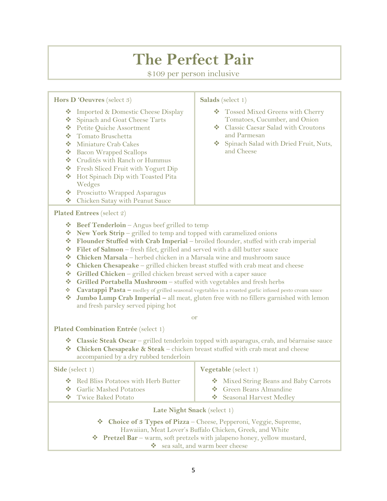# **The Perfect Pair**

\$109 per person inclusive

**Hors D 'Oeuvres** (select 3) ❖ Imported & Domestic Cheese Display Spinach and Goat Cheese Tarts Petite Quiche Assortment Tomato Bruschetta Miniature Crab Cakes **❖** Bacon Wrapped Scallops Crudités with Ranch or Hummus **❖** Fresh Sliced Fruit with Yogurt Dip ◆ Hot Spinach Dip with Toasted Pita Wedges **❖** Prosciutto Wrapped Asparagus Chicken Satay with Peanut Sauce **Salads** (select 1) Tossed Mixed Greens with Cherry Tomatoes, Cucumber, and Onion **❖** Classic Caesar Salad with Croutons and Parmesan Spinach Salad with Dried Fruit, Nuts, and Cheese **Plated Entrees** (select 2) **◆ Beef Tenderloin** – Angus beef grilled to temp **Executive View York Strip** – grilled to temp and topped with caramelized onions **Flounder Stuffed with Crab Imperial** – broiled flounder, stuffed with crab imperial **Filet of Salmon** – fresh filet, grilled and served with a dill butter sauce **Chicken Marsala** – herbed chicken in a Marsala wine and mushroom sauce **◆** Chicken Chesapeake – grilled chicken breast stuffed with crab meat and cheese  $\diamond$  Grilled Chicken – grilled chicken breast served with a caper sauce **Grilled Portabella Mushroom** – stuffed with vegetables and fresh herbs **Cavatappi Pasta –** medley of grilled seasonal vegetables in a roasted garlic infused pesto cream sauce  $\triangle$  Jumbo Lump Crab Imperial – all meat, gluten free with no fillers garnished with lemon and fresh parsley served piping hot or **Plated Combination Entrée** (select 1) **Classic Steak Oscar** – grilled tenderloin topped with asparagus, crab, and béarnaise sauce **Chicken Chesapeake & Steak** – chicken breast stuffed with crab meat and cheese accompanied by a dry rubbed tenderloin **Side** (select 1) ◆ Red Bliss Potatoes with Herb Butter **❖** Garlic Mashed Potatoes **❖** Twice Baked Potato **Vegetable** (select 1)  $\bullet$  Mixed String Beans and Baby Carrots Green Beans Almandine Seasonal Harvest Medley **Late Night Snack** (select 1) **Choice of 3 Types of Pizza** – Cheese, Pepperoni, Veggie, Supreme, Hawaiian, Meat Lover's Buffalo Chicken, Greek, and White

**Pretzel Bar** – warm, soft pretzels with jalapeno honey, yellow mustard,

sea salt, and warm beer cheese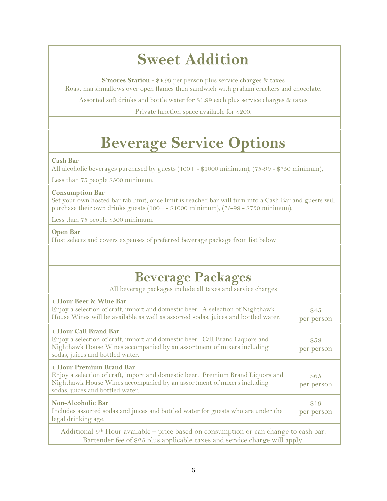# **Sweet Addition**

**S'mores Station -** \$4.99 per person plus service charges & taxes Roast marshmallows over open flames then sandwich with graham crackers and chocolate.

Assorted soft drinks and bottle water for \$1.99 each plus service charges & taxes

Private function space available for \$200.

# **Beverage Service Options**

#### **Cash Bar**

All alcoholic beverages purchased by guests (100+ - \$1000 minimum), (75-99 - \$750 minimum),

Less than 75 people \$500 minimum.

#### **Consumption Bar**

Set your own hosted bar tab limit, once limit is reached bar will turn into a Cash Bar and guests will purchase their own drinks guests (100+ - \$1000 minimum), (75-99 - \$750 minimum),

Less than 75 people \$500 minimum.

#### **Open Bar**

Host selects and covers expenses of preferred beverage package from list below

# **Beverage Packages**

All beverage packages include all taxes and service charges

| <b>4 Hour Beer &amp; Wine Bar</b><br>Enjoy a selection of craft, import and domestic beer. A selection of Nighthawk<br>House Wines will be available as well as assorted sodas, juices and bottled water.                        | \$45<br>per person |  |
|----------------------------------------------------------------------------------------------------------------------------------------------------------------------------------------------------------------------------------|--------------------|--|
| <b>4 Hour Call Brand Bar</b><br>Enjoy a selection of craft, import and domestic beer. Call Brand Liquors and<br>Nighthawk House Wines accompanied by an assortment of mixers including<br>sodas, juices and bottled water.       | \$58<br>per person |  |
| <b>4 Hour Premium Brand Bar</b><br>Enjoy a selection of craft, import and domestic beer. Premium Brand Liquors and<br>Nighthawk House Wines accompanied by an assortment of mixers including<br>sodas, juices and bottled water. | \$65<br>per person |  |
| <b>Non-Alcoholic Bar</b><br>Includes assorted sodas and juices and bottled water for guests who are under the<br>legal drinking age.                                                                                             | \$19<br>per person |  |
| Additional 5 <sup>th</sup> Hour available – price based on consumption or can change to cash bar.<br>Bartender fee of \$25 plus applicable taxes and service charge will apply.                                                  |                    |  |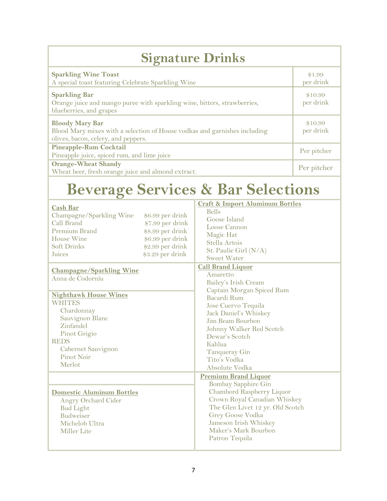| <b>Signature Drinks</b>                                                                                                                    |                      |  |  |
|--------------------------------------------------------------------------------------------------------------------------------------------|----------------------|--|--|
| <b>Sparkling Wine Toast</b><br>A special toast featuring Celebrate Sparkling Wine                                                          | \$1.99<br>per drink  |  |  |
| <b>Sparkling Bar</b><br>Orange juice and mango puree with sparkling wine, bitters, strawberries,<br>blueberries, and grapes                | \$10.99<br>per drink |  |  |
| <b>Bloody Mary Bar</b><br>Blood Mary mixes with a selection of House vodkas and garnishes including<br>olives, bacon, celery, and peppers. | \$10.99<br>per drink |  |  |
| <b>Pineapple-Rum Cocktail</b><br>Pineapple juice, spiced rum, and lime juice                                                               | Per pitcher          |  |  |
| <b>Orange-Wheat Shandy</b><br>Wheat beer, fresh orange juice and almond extract.                                                           | Per pitcher          |  |  |

# **Beverage Services & Bar Selections**

| <b>Cash Bar</b><br>Champagne/Sparkling Wine<br>\$6.99 per drink<br>Call Brand<br>\$7.99 per drink<br>Premium Brand<br>\$8.99 per drink<br>House Wine<br>\$6.99 per drink<br>\$2.99 per drink<br><b>Soft Drinks</b><br>\$3.29 per drink<br>Juices | <b>Craft &amp; Import Aluminum Bottles</b><br><b>Bells</b><br>Goose Island<br>Loose Cannon<br>Magic Hat<br>Stella Artois<br>St. Paulie Girl (N/A)<br><b>Sweet Water</b>                                                                           |  |
|--------------------------------------------------------------------------------------------------------------------------------------------------------------------------------------------------------------------------------------------------|---------------------------------------------------------------------------------------------------------------------------------------------------------------------------------------------------------------------------------------------------|--|
| <b>Champagne/Sparkling Wine</b><br>Anna de Codorníu                                                                                                                                                                                              | <b>Call Brand Liquor</b><br>Amaretto<br>Bailey's Irish Cream<br>Captain Morgan Spiced Rum                                                                                                                                                         |  |
| <b>Nighthawk House Wines</b><br><b>WHITES</b><br>Chardonnay<br>Sauvignon Blanc<br>Zinfandel<br>Pinot Grigio<br><b>REDS</b><br>Cabernet Sauvignon<br>Pinot Noir<br>Merlot                                                                         | Bacardi Rum<br>Jose Cuervo Tequila<br>Jack Daniel's Whiskey<br>Jim Beam Bourbon<br>Johnny Walker Red Scotch<br>Dewar's Scotch<br>Kahlua<br>Tanqueray Gin<br>Tito's Vodka<br>Absolute Vodka                                                        |  |
| <b>Domestic Aluminum Bottles</b><br>Angry Orchard Cider<br><b>Bud Light</b><br><b>Budweiser</b><br>Michelob Ultra<br><b>Miller</b> Lite                                                                                                          | <b>Premium Brand Liquor</b><br><b>Bombay Sapphire Gin</b><br>Chambord Raspberry Liquor<br>Crown Royal Canadian Whiskey<br>The Glen Livet 12 yr. Old Scotch<br>Grey Goose Vodka<br>Jameson Irish Whiskey<br>Maker's Mark Bourbon<br>Patron Tequila |  |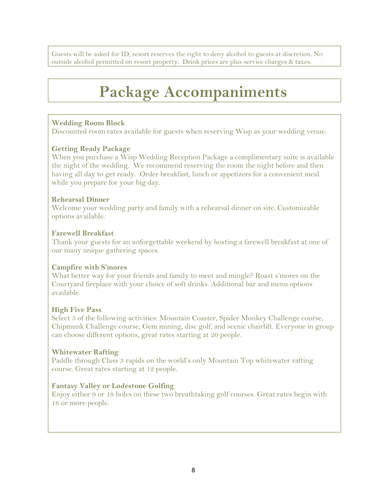Guests will be asked for ID, resort reserves the right to deny alcohol to guests at discretion. No outside alcohol permitted on resort property. Drink prices are plus service charges & taxes.

# **Package Accompaniments**

## **Wedding Room Block**

Discounted room rates available for guests when reserving Wisp as your wedding venue.

### **Getting Ready Package**

When you purchase a Wisp Wedding Reception Package a complimentary suite is available the night of the wedding. We recommend reserving the room the night before and then having all day to get ready. Order breakfast, lunch or appetizers for a convenient meal while you prepare for your big day.

### **Rehearsal Dinner**

Welcome your wedding party and family with a rehearsal dinner on site. Customizable options available.

### **Farewell Breakfast**

Thank your guests for an unforgettable weekend by hosting a farewell breakfast at one of our many unique gathering spaces.

## **Campfire with S'mores**

What better way for your friends and family to meet and mingle? Roast s'mores on the Courtyard fireplace with your choice of soft drinks. Additional bar and menu options available.

## **High Five Pass**

Select 5 of the following activities: Mountain Coaster, Spider Monkey Challenge course, Chipmunk Challenge course, Gem mining, disc golf, and scenic chairlift. Everyone in group can choose different options, great rates starting at 20 people.

## **Whitewater Rafting**

Paddle through Class 3 rapids on the world's only Mountain Top whitewater rafting course. Great rates starting at 12 people.

## **Fantasy Valley or Lodestone Golfing**

Enjoy either 9 or 18 holes on these two breathtaking golf courses. Great rates begin with 16 or more people.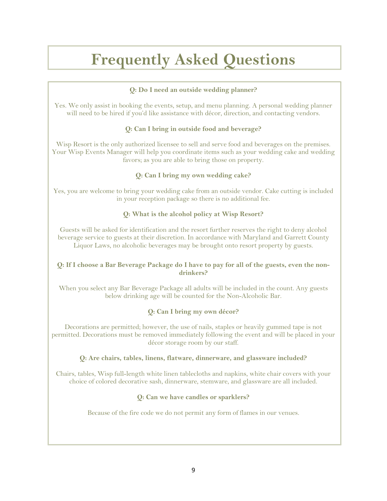# **Frequently Asked Questions**

#### **Q: Do I need an outside wedding planner?**

Yes. We only assist in booking the events, setup, and menu planning. A personal wedding planner will need to be hired if you'd like assistance with décor, direction, and contacting vendors.

### **Q: Can I bring in outside food and beverage?**

Wisp Resort is the only authorized licensee to sell and serve food and beverages on the premises. Your Wisp Events Manager will help you coordinate items such as your wedding cake and wedding favors; as you are able to bring those on property.

### **Q: Can I bring my own wedding cake?**

Yes, you are welcome to bring your wedding cake from an outside vendor. Cake cutting is included in your reception package so there is no additional fee.

### **Q: What is the alcohol policy at Wisp Resort?**

Guests will be asked for identification and the resort further reserves the right to deny alcohol beverage service to guests at their discretion. In accordance with Maryland and Garrett County Liquor Laws, no alcoholic beverages may be brought onto resort property by guests.

#### **Q: If I choose a Bar Beverage Package do I have to pay for all of the guests, even the nondrinkers?**

When you select any Bar Beverage Package all adults will be included in the count. Any guests below drinking age will be counted for the Non-Alcoholic Bar.

## **Q: Can I bring my own décor?**

Decorations are permitted; however, the use of nails, staples or heavily gummed tape is not permitted. Decorations must be removed immediately following the event and will be placed in your décor storage room by our staff.

### **Q: Are chairs, tables, linens, flatware, dinnerware, and glassware included?**

Chairs, tables, Wisp full-length white linen tablecloths and napkins, white chair covers with your choice of colored decorative sash, dinnerware, stemware, and glassware are all included.

### **Q: Can we have candles or sparklers?**

Because of the fire code we do not permit any form of flames in our venues.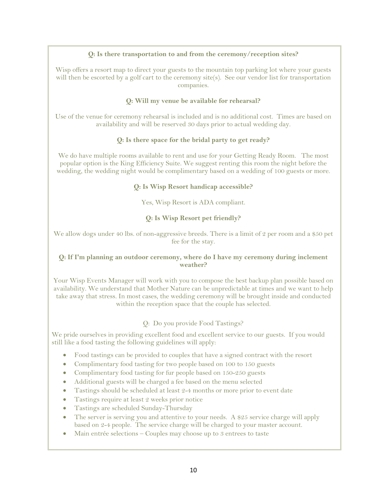### **Q: Is there transportation to and from the ceremony/reception sites?**

Wisp offers a resort map to direct your guests to the mountain top parking lot where your guests will then be escorted by a golf cart to the ceremony site(s). See our vendor list for transportation companies.

### **Q: Will my venue be available for rehearsal?**

Use of the venue for ceremony rehearsal is included and is no additional cost. Times are based on availability and will be reserved 30 days prior to actual wedding day.

### **Q: Is there space for the bridal party to get ready?**

We do have multiple rooms available to rent and use for your Getting Ready Room. The most popular option is the King Efficiency Suite. We suggest renting this room the night before the wedding, the wedding night would be complimentary based on a wedding of 100 guests or more.

#### **Q: Is Wisp Resort handicap accessible?**

Yes, Wisp Resort is ADA compliant.

### **Q: Is Wisp Resort pet friendly?**

We allow dogs under 40 lbs. of non-aggressive breeds. There is a limit of 2 per room and a \$50 pet fee for the stay.

#### **Q: If I'm planning an outdoor ceremony, where do I have my ceremony during inclement weather?**

Your Wisp Events Manager will work with you to compose the best backup plan possible based on availability. We understand that Mother Nature can be unpredictable at times and we want to help take away that stress. In most cases, the wedding ceremony will be brought inside and conducted within the reception space that the couple has selected.

#### Q: Do you provide Food Tastings?

We pride ourselves in providing excellent food and excellent service to our guests. If you would still like a food tasting the following guidelines will apply:

- Food tastings can be provided to couples that have a signed contract with the resort
- Complimentary food tasting for two people based on 100 to 150 guests
- Complimentary food tasting for fur people based on 150-250 guests
- Additional guests will be charged a fee based on the menu selected
- Tastings should be scheduled at least 2-4 months or more prior to event date
- Tastings require at least 2 weeks prior notice
- Tastings are scheduled Sunday-Thursday
- The server is serving you and attentive to your needs. A \$25 service charge will apply based on 2-4 people. The service charge will be charged to your master account.
- Main entrée selections Couples may choose up to 3 entrees to taste